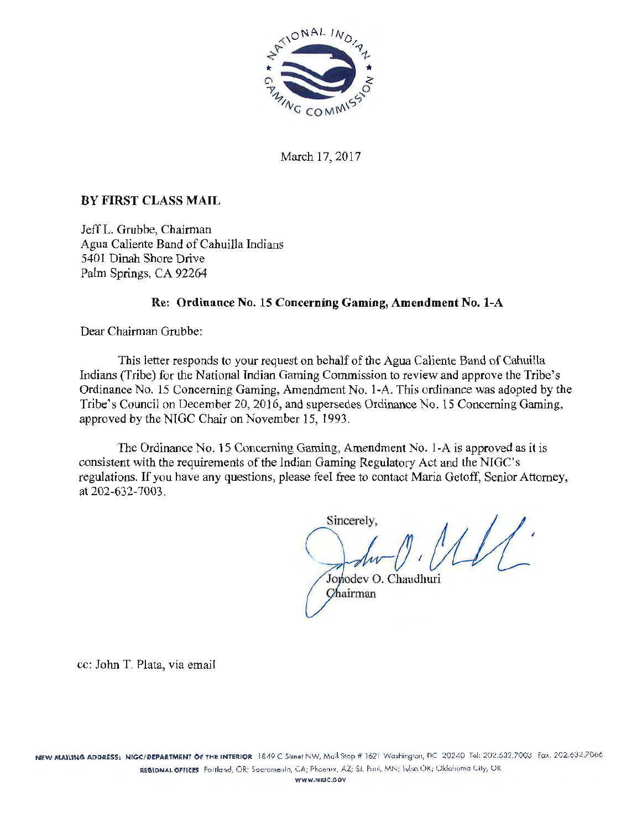

March 17, 2017

#### BY FIRST CLASS MAIL

Jeff L. Grubbe, Chairman Agua Caliente Band of Cahuilla Indians 5401 Dinah Shore Drive Palm Springs, CA 92264

#### Re: Ordinance No. 15 Concerning Gaming, Amendment No. 1-A

Dear Chairman Grubbe:

This letter responds to your request on behalf of the Agua Caliente Band of Cahuilla Indians (Tribe) for the National Indian Gaming Commission *to* review and approve the Tribe's Ordinance No. 15 Concerning Gaming, Amendment No. l ·A. This ordinance was adopted by the Tribe's Council on December 20, 2016, and supersedes Ordinance No. 15 Concerning Gaming, approved by the NIGC Chair on November 15, 1993.

The Ordinance No. 15 Concerning Gaming, Amendment No. 1 ·A is approved as it is consistent with the requirements of the Indian Gaming Regulatory Act and the NIGC's regulations. If you have any questions, please feel free to contact Maria Getoff, Senior Attorney, at 202-632-7003.

Sincerely, Jonodev O. Chaudhuri

Chairman

cc: John T. Plata, via email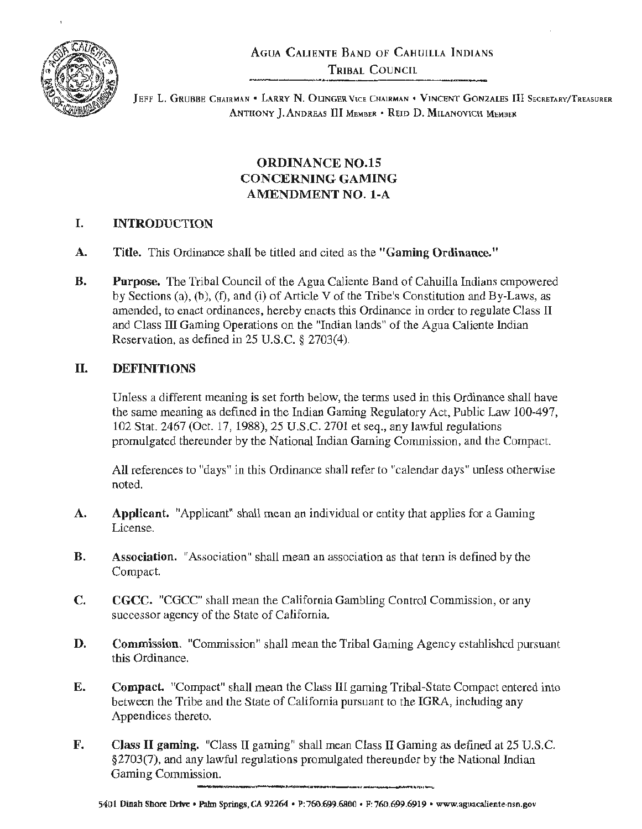AGUA CALIENTE BAND OF CAHUILLA INDIANS TRIBAL COUNCIL



JEFF L. GRUBBE CHAIRMAN • LARRY N. OLINGER VICE CHAlRMAN • V1NCEN1' GONZALES III SECRETARY/TREASURER ANTHONY J. ANDREAS III MEMBER . REID D. MILANOVICH MEMBER

# ORDINANCE N0.15 CONCERNING GAMING AMENDMENT NO. 1-A

# I. INTRODUCTION

- A. Title. This Ordinance shall be titled and cited as the "Gaming Ordinance."
- B. Purpose. The Tribal Council of the Agua Caliente Band of Cahuilla Indians empowered by Sections (a), (b), (f), and (i) of Article V of the Tribe's Constitution and By-Laws, as amended, to enact ordinances, hereby enacts this Ordinance in order to regulate Class II and Class III Gaming Operations on the "Indian lands" of the Agua Caliente Indian Reservation, as defined in 25 U.S.C. § 2703(4).

# II. DEFINITIONS

Unless a different meaning is set forth below, the terms used in this Ordinance shall have the same meaning as defined in the Indian Gaming Regulatory Act, Public Law 100-497, 102 Stat. 2467 (Oct. 17, 1988), 25 U.S.C. 2701 et seq., any lawful regulations promulgated thereunder by the National Indian Gaming Commission, and the Compact.

All references to "days" in this Ordinance shall refer to "calendar days" unless otherwise noted.

- A. Applicant. "Applicant" shall mean an individual or entity that applies for a Gaming License.
- **B.** Association. "Association" shall mean an association as that term is defined by the Compact.
- C. CGCC. "CGCC" shall mean the California Gambling Control Commission, or any successor agency of the State of California.
- D. Commission. "Commission" shall mean the Tribal Gaming Agency estahlishcd pursuant this Ordinance.
- E. Compact. "Compact" shall mean the Class III gaming Tribal-State Compact entered into between the Tribe and the State of California pursuant to the IGRA, including any Appendices thereto.
- F. Class II gaming. "Class II gaming" shall mean Class II Gaming as defined at 25 U.S.C. §2703(7), and any lawful regulations promulgated thereunder by the National Indian Class II gaming. "Class II gaming" shall mean Class II Gaming as §2703(7), and any lawful regulations promulgated thereunder by the Gaming Commission.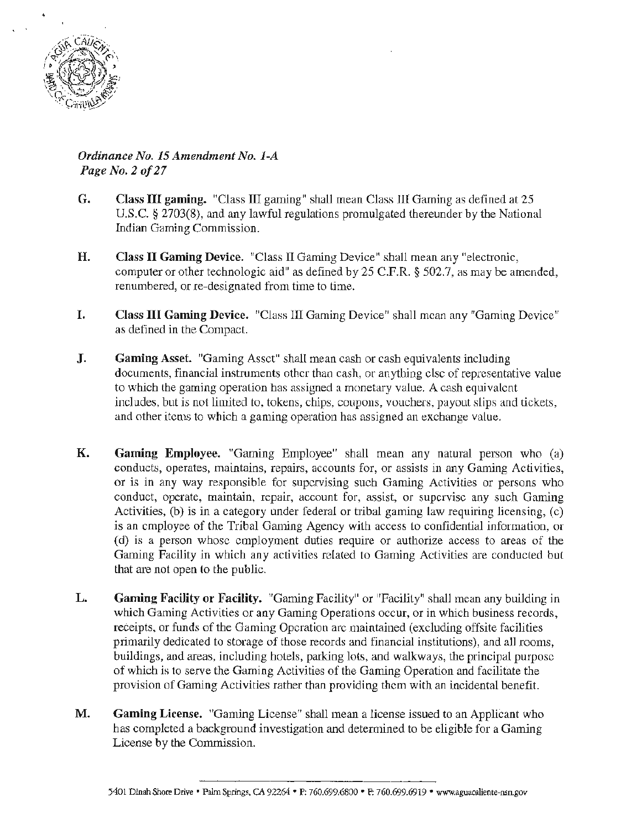

 $\epsilon = 2$ 

*Ordinance No. 15 Amendment No. 1-A Page No.* 2 *o/27* 

- G. Class III gaming. "Class III gaming" shall mean Class HI Gaming as defined at 25 U.S.C. § 2703(8), and any lawful regulations promulgated thereunder by the National Indian Gaming Commission.
- H. Class II Gaming Device. "Class II Gaming Device" shall mean any "electronic, computer or other technologic aid" as defined by 25 C.F.R. § 502.7, as may be amended, renumbered, or re-designated from time to time.
- I. Class III Gaming Device. "Class III Gaming Device" shall mean any "Gaming Device" as defined in the Compact.
- J. Gaming Asset. "Gaming Asset" shall mean cash or cash equivalents including documents, financial instruments other than cash, or anything else of representative value to which the gaming operation has assigned a monetary value. A cash equivalent includes, but is not limited to, tokens, chips, coupons, vouchers, payout slips and tickets, and other items to which a gaming operation has assigned an exchange value.
- K. Gaming Employee. "Gaming Employee" shall mean any natural person who (a) conducts, operates, maintains, repairs, accounts for, or assists in any Gaming Activities, or is in any way responsible for supervising such Gaming Activities or persons who conduct, operate, maintain, repair, account for, assist, or supervise any such Gaming Activities, (b) is in a category under federal or tribal gaming law requiring licensing, (c) is an employee of the Tribal Gaming Agency with access to confidential information, or ( d) is a person whose employment duties require or authorize access to areas of the Gaming Facility in which any activities related to Gaming Activities are conducted but that are not open lo the public.
- L. Gaming Facility or Facility. "Gaming Facility" or "Facility" shall mean any building in which Gaming Activities or any Gaming Operations occur, or in which business records, receipts, or funds of the Gaming Operation arc maintained (excluding offsite facilities primarily dedicated to storage of those records and financial institutions), and all rooms, buildings, and areas, including hotels, parking lots, and walkways, the principal purpose of which is to serve the Gaming Activities of the Gaming Operation and facilitate the provision of Gaming Activities rather than providing them with an incidental benefit.
- M. Gaming License. "Gaming License" shall mean a license issued to an Applicant who has completed a background investigation and determined to be eligible for a Gaming License by the Commission.

<sup>5401</sup> Dinah Shore Drive • Palm Springs, CA 92264 • P: 760.699.6800 • F: 760.699.6919 • www.aguacaliente-nsn.gov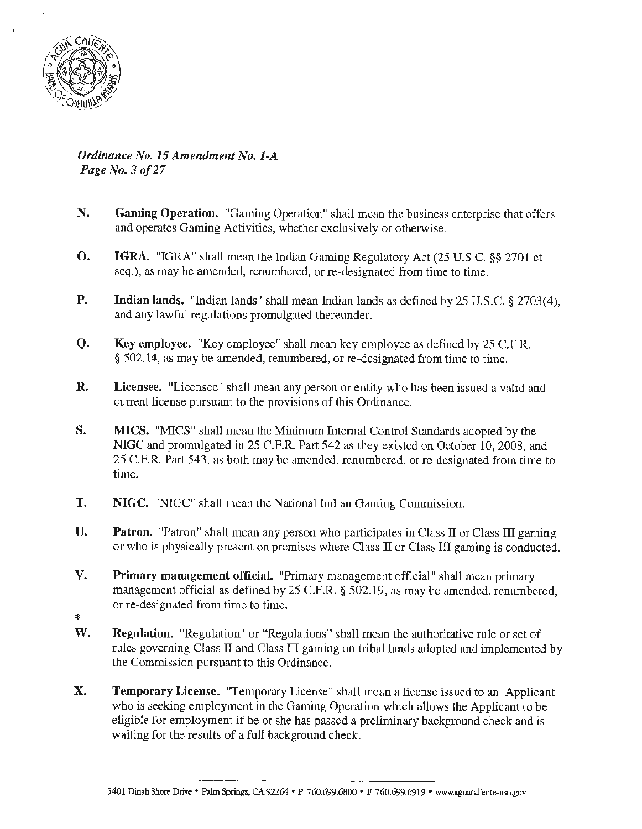

. '

*Ordinance No. 15 Amendment No. 1-A*  Page *No. 3 of 27* 

- N. Gaming Operation. "Gaming Operation" shall mean the business enterprise that offers and operates Gaming Activities, whether exclusively or otherwise.
- 0. IGRA. "IGRA" shall mean the Indian Gaming Regulatory Act (25 U.S.C. §§ 2701 et seq.), as may be amended, renumbered, or re-designated from time to time.
- P. Indian lands. "Indian lands" shall mean Indian lands as defined by 25 U.S.C. § 2703(4), and any lawful regulations promulgated thereunder.
- Q. Key employee. "Key employee" shall mean key employee as defined by 25 C.F.R. § 502.14, as may be amended, renumbered, or re-designated from time to time.
- R. Licensee. "Licensee" shall mean any person or entity who has been issued a valid and current license pursuant to the provisions of this Ordinance.
- S. MICS. "MICS" shall mean the Minimum Internal Control Standards adopted by the NIGC and promulgated in 25 C.F.R. Part 542 as they existed on October 10, 2008, and 25 C.F.R. Part 543, as both may be amended, renumbered, or re-designated from time to time.
- T. NIGC. "NIGC" shall mean the National Indian Gaming Commission.
- U. Patron. "Patron" shall mean any person who participates in Class II or Class III gaming or who is physically present on premises where Class II or Class III gaming is conducted.
- V. Primary management official. "Primary management official" shall mean primary management official as defined by 25 C.F.R. § 502.19, as may be amended, renumbered, or re-designated from time to time.
- 
- w. **Regulation.** "Regulation" or "Regulations" shall mean the authoritative rule or set of rules governing Class II and Class III gaming on tribal lands adopted and implemented by the Commission pursuant to this Ordinance.
- X. Temporary License. "Temporary License" shall mean a license issued to an Applicant who is seeking employment in the Gaming Operation which allows the Applicant to be eligible for employment if he or she has passed a preliminary background check and is waiting for the results of a full background check.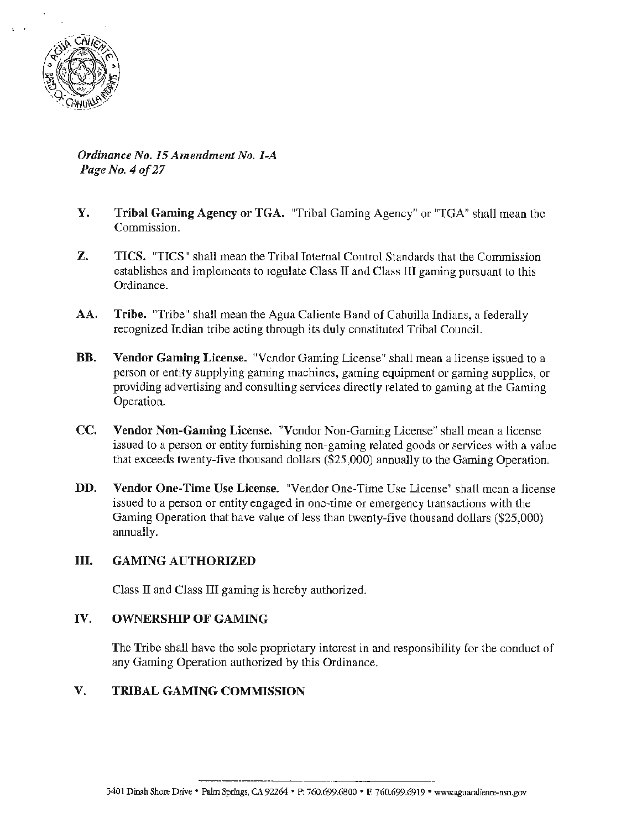

I •

*Ordinance No. 15 Amendment No. 1-A Page No. 4of27* 

- Y. Tribal Gaming Agency or TGA. "Tribal Gaming Agency" or "TGA" shall mean the Commission.
- Z. TICS. "TICS" shall mean the Tribal Internal Control Standards that the Commission establishes and implements to regulate Class II and Class Ill gaming pursuant to this Ordinance.
- AA. Tribe. "Tribe" shall mean the Agua Caliente Band of Cahuilla Indians, a federally recognized Indian tribe acting through its duly constituted Tribal Council.
- BB. Vendor Gaming License. "Vendor Gaming License" shall mean a license issued to a person or entity supplying gaming machines, gaming equipment or gaming supplies, or providing advertising and consulting services directly related to gaming at the Gaming Operation.
- CC. Vendor Non-Gaming License. "Vendor Non-Gaming License" shall mean a license issued to a person or entity furnishing non-gaming related goods or services with a value that exceeds twenty-five thousand dollars (\$25,000) annually to the Gaming Operation.
- DD. Vendor One-Time Use License. "Vendor One-Time Use License" shall mean a license issued to a person or entity engaged in one-time or emergency transactions with the Gaming Operation that have value of less than twenty-five thousand dollars (\$25,000) annually.

### III. GAMING AUTHORIZED

Class II and Class III gaming is hereby authorized.

# IV. OWNERSHIP OF GAMING

The Tribe shall have the sole proprietary interest in and responsibility for the conduct of any Gaming Operation authorized by this Ordinance.

# V. TRIBAL GAMING COMMISSION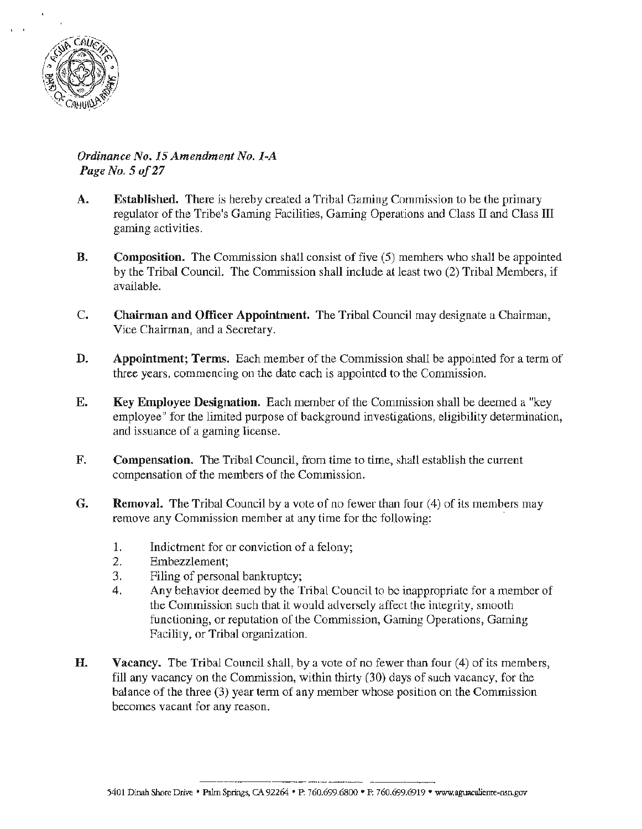

I I

*Ordinance No. JS Amendment No.* J~A *Page No. 5 of 27* 

- A. Established. There is hereby created a Tribal Gaming Commission to be the primary regulator of the Tribe's Gaming Facilities, Gaming Operations and Class II and Class III gaming activities.
- B. Composition. The Commission shall consist of five (5) members who shall be appointed by the Tribal Council. The Commission shall include at least two (2) Tribal Members, if available.
- C. Chairman and Officer Appointment. The Tribal Council may designate a Chairman, Vice Chairman, and a Secretary.
- D. Appointment; Terms. Each member of the Commission shall be appointed for a term of three years, commencing on the date each is appointed to the Commission.
- E. Key Employee Designation. Each member of the Commission shall be deemed a "key employee" for the limited purpose of background investigations, eligibility determination, and issuance of a gaming license.
- F. Compensation. The Tribal Council, from time to time, shall establish the current compensation of the members of the Commission.
- G. Removal. The Tribal Council by a vote of no fewer than four (4) of its members may remove any Commission member at any time for the following:
	- 1. Indictment for or conviction of a felony;
	- 2. Embezzlement;
	- 3. Filing of personal bankruptcy;
	- 4. Any behavior deemed by the Tribal Council to be inappropriate for a member of the Commission such that it would adversely affect the integrity, smooth functioning, or reputation of the Commission, Gaming Operations, Gaming Facility, or Tribal organization.
- H. Vacancy. The Tribal Council shall, by a vote of no fewer than four (4) of its members, fill any vacancy on the Commission, within thirty (30) days of such vacancy, for the balance of the three (3) year term of any member whose position on the Commission becomes vacant for any reason.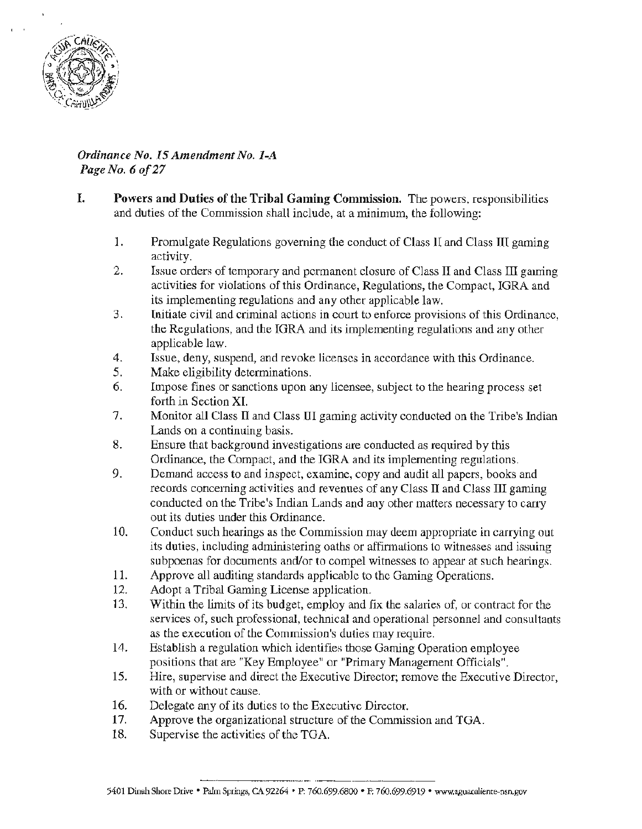

I '

# *Ordinance No. 15 Amendment No. 1-A Page No. 6 of 27*

- I. Powers and Duties of the Tribal Gaming Commission. The powers, responsibilities and duties of the Commission shall include, at a minimum, the following:
	- 1. Promulgate Regulations governing the conduct of Class H and Class III gaming activity.
	- 2. Issue orders of temporary and permanent closure of Class II and Class III gaming activities for violations of this Ordinance, Regulations, the Compact, IGRA and its implementing regulations and any other applicable law.
	- 3. Initiate civil and criminal actions in court to enforce provisions of this Ordinance, the Regulations, and the IGRA and its implementing regulations and any other applicable law.
	- 4. Issue, deny, suspend, and revoke licenses in accordance with this Ordinance.
	- 5. Make eligibility determinations.
	- 6. Impose fines or sanctions upon any licensee, subject to the hearing process set forth in Section XI.
	- 7. Monitor all Class  $\Pi$  and Class  $\Pi$  gaming activity conducted on the Tribe's Indian Lands on a continuing basis.
	- 8. Ensure that background investigations are conducted as required by this Ordinance, the Compact, and the IGRA and its implementing regulations.
	- 9. Demand access to and inspect, examine, copy and audit all papers, books and records concerning activities and revenues of any Class II and Class III gaming conducted on the Tribe's Indian Lands and any other matters necessary to carry out its duties under this Ordinance.
	- 10. Conduct such hearings as the Commission may deem appropriate in carrying out its duties, including administering oaths or affirmations to witnesses and issuing subpoenas for documents and/or to compel witnesses to appear at such hearings.
	- 11. Approve all auditing standards applicable to the Gaming Operations.
	- 12. Adopt a Tribal Gaming License application.
	- 13. Within the limits of its budget, employ and fix the salaries of, or contract for the services of, such professional, technical and operational personnel and consultants as the execution of the Commission's duties may require.
	- 14. Establish a regulation which identifies those Gaming Operation employee positions that are "Key Employee" or "Primary Management Officials".
	- 15. Hire, supervise and direct the Executive Director; remove the Executive Director, with or without cause.
	- 16. Delegate any of its duties to the Executive Director.
	- 17. Approve the organizational structure of the Commission and TGA.
	- 18. Supervise the activities of the TGA.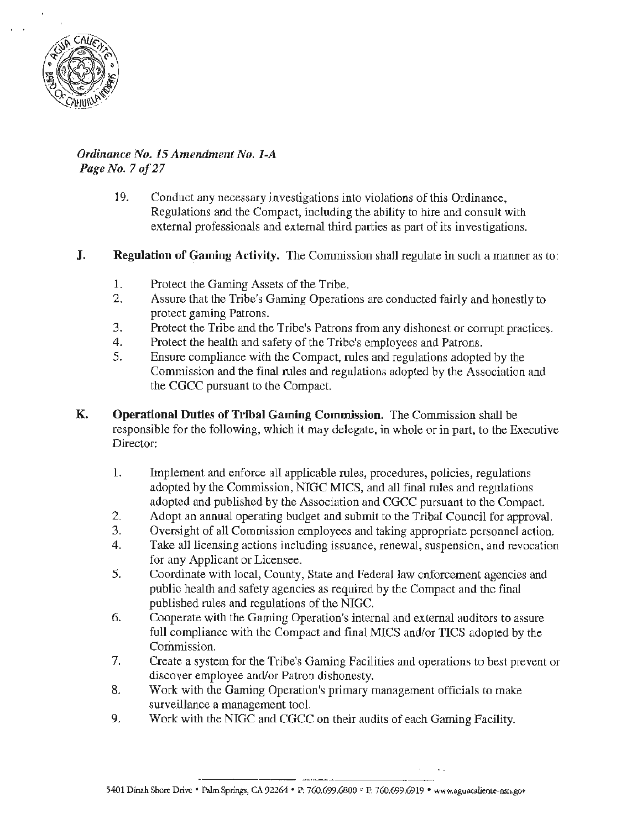

# *Ordinance No. 15 Amendment No. 1-A Page No. 7 of 27*

- 19. Conduct any necessary investigations into violations of this Ordinance, Regulations and the Compact, including the ability to hire and consult with external professionals and external third parties as part of its investigations.
- J. Regulation of Gaming Activity. The Commission shall regulate in such a manner as to:
	- 1. Protect the Gaming Assets of the Tribe.<br>2. Assure that the Tribe's Gaming Operation
	- Assure that the Tribe's Gaming Operations are conducted fairly and honestly to protect gaming Patrons.
	- 3. Protect the Tribe and the Tribe's Patrons from any dishonest or corrupt practices.
	- 4. Protect the health and safety of the Tribe's employees and Patrons.
	- 5. Ensure compliance with the Compact, rules and regulations adopted by the Commission and the final rules and regulations adopted by the Association and the CGCC pursuant to the Compact.
- K. Operational Duties of Tribal Gaming Commission. The Commission shall be responsible for the following, which it may delegate, in whole or in part, to the Executive Director:
	- 1. Implement and enforce all applicable rules, procedures, policies, regulations adopted by the Commission, NIGC MICS, and all final rules and regulations adopted and published by the Association and CGCC pursuant to the Compact.
	- 2. Adopt an annual operating budget and submit to the Tribal Council for approval.
	- 3. Oversight of all Commission employees and taking appropriate personnel action.
	- 4. Take all licensing actions including issuance, renewal, suspension, and revocation for any Applicant or Licensee.
	- 5. Coordinate with local, County, State and Federal law enforcement agencies and public health and safety agencies as required by the Compact and the final published rules and regulations of the NIGC.
	- 6. Cooperate with the Gaming Operation's internal and external auditors to assure full compliance with the Compact and final MICS and/or TICS adopted by the Commission.
	- 7. Create a system for the Tribe's Gaming Facilities and operations to best prevent or discover employee and/or Patron dishonesty.
	- 8. Work with the Gaming Operation's primary management officials to make surveillance a management tool.
	- 9. Work with the NIGC and CGCC on their audits of each Gaming Facility.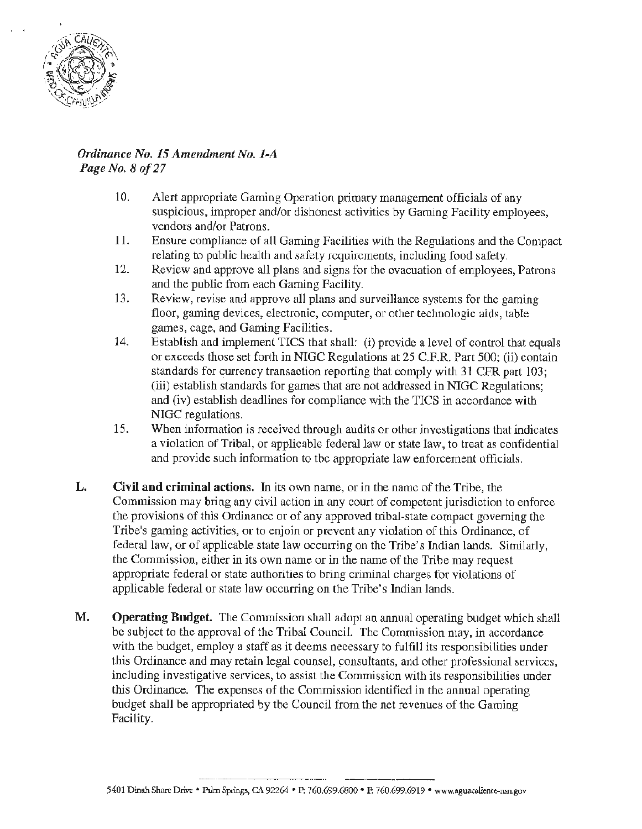

# *Ordinance No. 15 Amendment No. 1-A Page No. 8 of 27*

- 10. Alert appropriate Gaming Operation primary management officials of any suspicious, improper and/or dishonest activities by Gaming Facility employees, vendors and/or Patrons.
- 11. Ensure compliance of all Gaming Facilities wilh the Regulations and the Compact relating to public health and safety requirements, including food safety.
- 12. Review and approve all plans and signs for the evacuation of employees, Patrons and the public from each Gaming Facility.
- 13. Review, revise and approve all plans and surveillance systems for the gaming floor, gaming devices, electronic, computer, or other technologic aids, table games, cage, and Gaming Facilities.
- 14. Establish and implement TICS that shall: (i) provide a level of control that equals or exceeds those set forth in NIGC Regulations at 25 C.F.R. Part 500; (ii) contain standards for currency transaction reporting that comply with 31 CFR part 103; (iii) establish standards for games that are not addressed in NIGC Regulations; and (iv) establish deadlines for compliance with the TICS in accordance with NIGC regulations.
- 15. When information is received through audits or other investigations that indicates a violation of Tribal, or applicable federal law or state law, to treat as confidential and provide such information to the appropriate law enforcement officials.
- L. Civil and criminal actions. In its own name, or in the name of the Tribe, the Commission may bring any civil action in any court of competent jurisdiction to enforce the provisions of this Ordinance or of any approved tribal-state compact governing the Tribe's gaming activities, or to enjoin or prevent any violation of this Ordinance, of federal law, or of applicable state law occurring on the Tribe's Indian lands. Similarly, the Commission, either in its own name or in the name of the Tribe may request appropriate federal or state authorities to bring criminal charges for violations of applicable federal or state law occurring on the Tribe's Indian lands.
- M. Operating Budget. The Commission shall adopt an annual operating budget which shall be subject to the approval of the Tribal Council. The Commission may, in accordance with the budget, employ a staff as it deems necessary to fulfill its responsibilities under this Ordinance and may retain legal counsel, consultants, and other professional services, including investigative services, to assist the Commission with its responsibilities under this Ordinance. The expenses of the Commission identified in the annual operating budget shall be appropriated by the Council from the net revenues of the Gaming Facility.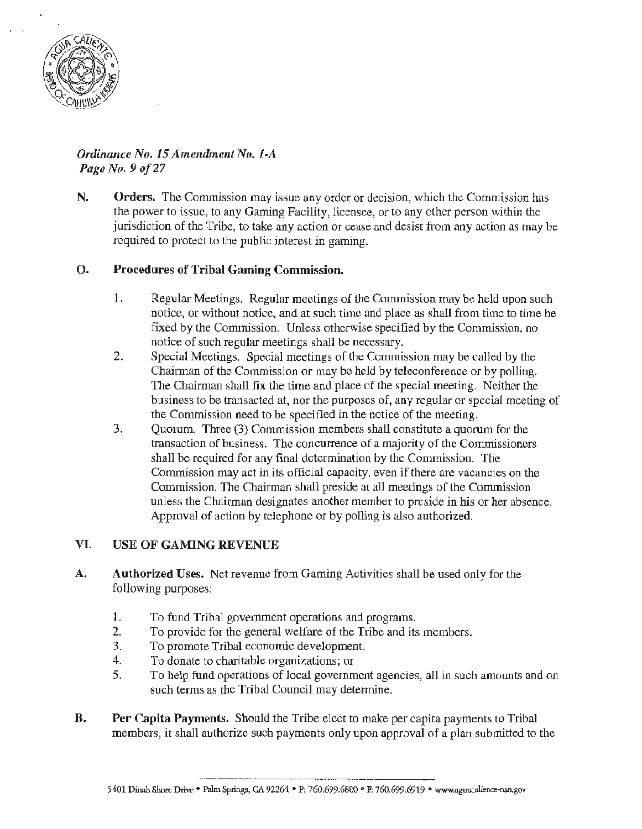

# *Ordinance No.15 Amendment No. I-A Page No.* 9 of 27

N. Orders. The Commission may issue any order or decision, which the Commission has the power to issue, to any Gaming Facility, licensee, or to any other person within the jurisdiction of the Tribe, to take any action or cease and desist from any action as may be required to protect to the public interest in gaming.

# O. Procedures of Tribal Gaming Commission.

- 1. Regular Meetings. Regular meetings of lhe Commission may be held upon such notice, or without notice, and at such time and place as shall from time to time be fixed by the Commission. Unless otherwise specified by the Commission, no notice of such regular meetings shall be necessary.
- 2. Special Meetings. Special meetings of the Commission may be called by the Chairman of the Commission or may be held by teleconference or by polling. The Chairman shall fix the time and place of the special meeting. Neither the business to be transacted at, nor the purposes of, any regular or special meeting of the Commission need to be specified in the notice of the meeting.
- 3. Quorum. Three (3) Commission members shall constitute a quorum for the transaction of business. The concurrence of a majority of the Commissioners shall be required for any final determination by the Commission. The Commission may act in its official capacity, even if there are vacancies on the Commission. The Chairman shall preside at alJ meetings of the Commission unless the Chairman designates another member to preside in his or her absence. Approval of action by telephone or by polling is also authorized.

### VI. USE OF GAMING REVENUE

- A. Authorized Uses. Net revenue from Gaming Activities shall be used only for the following purposes:
	- 1. To fund Tribal government operations and programs.
	- 2. To provide for the general welfare of the Tribe and its members.
	- 3. To promote Tribal economic development.
	- 4. To donate to charitable organizations; or
	- 5. To help fund operations of local government agencies, all in such amounts and on such terms as the Tribal Council may determine.
- B. Per Capita Payments. Should the Tribe elect to make per capita payments to Tribal members, it shall authorize such payments only upon approval of a plan submitted to the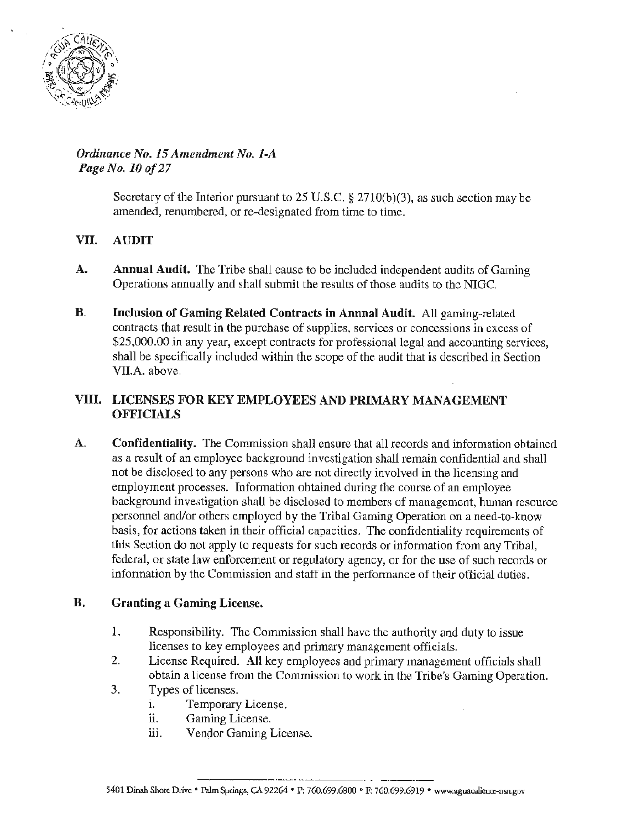

*Ordinance No. 15 Amendment No. 1-A Page No. 10 of 27* 

> Secretary of the Interior pursuant to 25 U.S.C. § 27lO(b)(3), as such section may be amended, renumbered, or re-designated from time to time.

# VII. AUDIT

- A. Annual Audit. The Tribe shall cause to be included independent audits of Gaming Operations annually and shall submit the results of those audits to the NIGC.
- B. Inclusion of Gaming Related Contracts in Annual Audit. All gaming-related contracts that result in the purchase of supplies, services or concessions in excess of \$25,000.00 in any year, except contracts for professional legal and accounting services, shall be specifically included within the scope of the audit that is described in Section VII.A. above.

# VIII. LICENSES FOR KEY EMPLOYEES AND PRIMARY MANAGEMENT **OFFICIALS**

A. Confidentiality. The Commission shall ensure that all records and information obtained as a result of an employee background investigation shall remain confidential and shall not be disclosed to any persons who are not directly involved in the licensing and employment processes. Information obtained during the course of an employee background investigation shall be disclosed to members of management, human resource personnel and/or others employed by the Tribal Gaming Operation on a need-to-know basis, for actions taken in their official capacities. The confidentiality requirements of this Section do not apply to requests for such records or information from any Tribal, federal, or state law enforcement or regulatory agency, or for the use of such records or information by the Commission and staff in the performance of their official duties.

### B. Granting a Gaming License.

- 1. Responsibility. The Commission shall have the authority and duty to issue licenses to key employees and primary management officials.
- 2. License Required. All key employees and primary management officials shall obtain a license from the Commission to work in the Tribe's Gaming Operation.
- 3. Types of licenses.
	- i. Temporary License.
	- ii. Gaming License.
	- iii. Vendor Gaming License.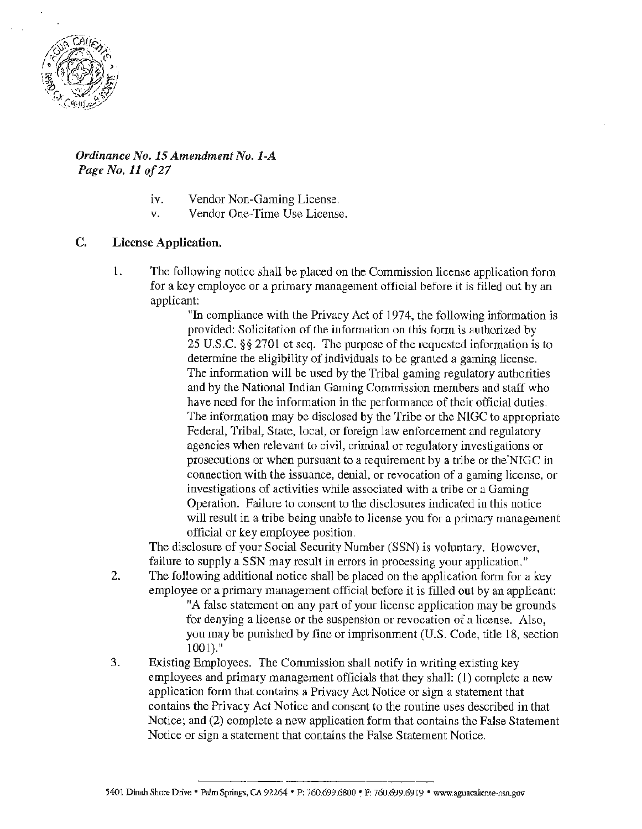

### *Ordinance No. 15 Amendment No. 1-A Page No. 11 of 27*

- iv. Vendor Non-Gaming License.
- v. Vendor One-Time Use License.

### C. License Application.

1. The following notice shall be placed on the Commission license application form for a key employee or a primary management official before it is filled out by an applicant:

"In compliance with the Privacy Act of 1974, the following information is provided: Solicitation of the information on this form is authorized by 25 U.S.C. §§ 2701 et seq. The purpose of the requested information is to determine the eligibility of individuals to be granted a gaming license. The information will be used by the Tribal gaming regulatory authorities and by the National Indian Gaming Commission members and staff who have need for the information in the performance of their official duties. The information may be disclosed by the Tribe or the NIGC to appropriate Federal, Tribal, State, local, or foreign law enforcement and regulatory agencies when relevant to civil, criminal or regulatory investigations or prosecutions or when pursuant to a requirement by a tribe or the 'NIGC in connection with the issuance, denial, or revocation of a gaming license, or investigations of activities while associated with a tribe or a Gaming Operation. Failure to consent to the disclosures indicated in this notice will result in a tribe being unable to license you for a primary management official or key employee position.

The disclosure of your Social Security Number (SSN) is voluntary. However, failure to supply a SSN may result in errors in processing your application."

- 2. The following additional notice shall be placed on the application form for a key employee or a primary management official before it is filled out by an applicant: "A false statement on any part of your license application may be grounds for denying a license or the suspension or revocation of a license. Also, you may be punished by fine or imprisonment (U.S. Code, title 18, section 1001)."
- 3. Existing Employees. The Commission shall notify in writing existing key employees and primary management officials that they shall: (1) complete a new application form that contains a Privacy Act Notice or sign a statement that contains the Privacy Act Notice and consent to the routine uses described in that Notice; and (2) complete a new application form that contains the False Statement Notice or sign a statement that contains the False Statement Notice.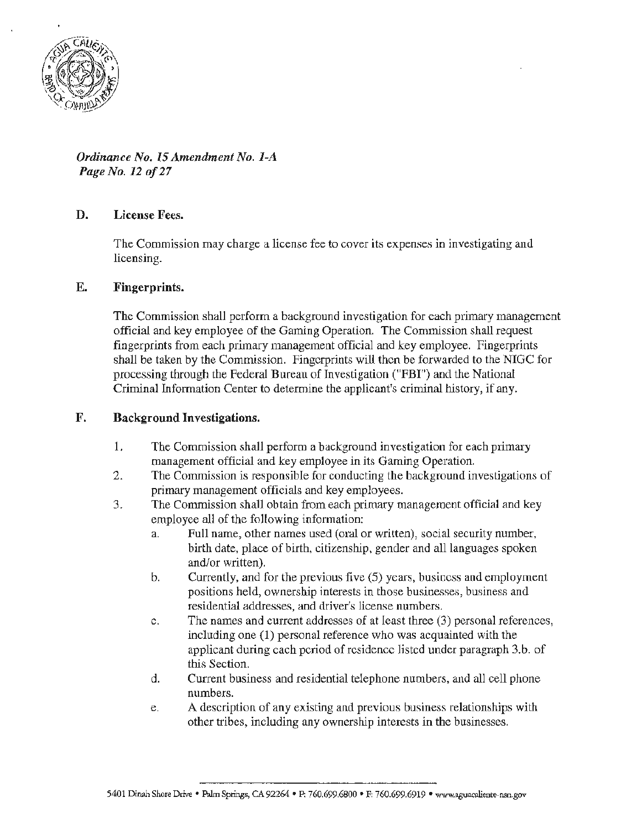

*Ordinance No. 15 Amendment No. 1-A Page No. 12of27* 

#### D. License Fees.

The Commission may charge a license fee *to* cover its expenses in investigating and licensing.

#### E. Fingerprints.

The Commission shall perform a background investigation for each primary management official and key employee of lhe Gaming Operation. The Commission shall request fingerprints from each primary management official and key employee. Fingerprints shall be taken by the Commission. Fingerprints will then be forwarded to the NIGC for processing through the Federal Bureau of Investigation ("FBI") and the National Criminal Information Center to determine the applicant's criminal history, if any.

#### F. Background Investigations.

- 1. The Commission shall perform a background investigation for each primary management official and key employee in its Gaming Operation.
- 2. The Commission is responsible for conducting the background investigations of primary management officials and key employees.
- 3. The Commission shall obtain from each primary management official and key employee all of the following information:
	- a. Full name, other names used (oral or written), social security number, birth date, place of birth, citizenship, gender and all languages spoken and/or written).
	- b. Currently, and for the previous five (5) years, business and employment positions held, ownership interests in those businesses, business and residential addresses, and driver's license numbers.
	- c. The names and current addresses of at least three (3) personal references, including one (1) personal reference who was acquainted with the applicant during each period of residence listed under paragraph 3.b. of this Section.
	- d. Current business and residential telephone numbers, and all cell phone numbers.
	- e. A description of any existing and previous business relationships with other tribes, including any ownership interests in the businesses.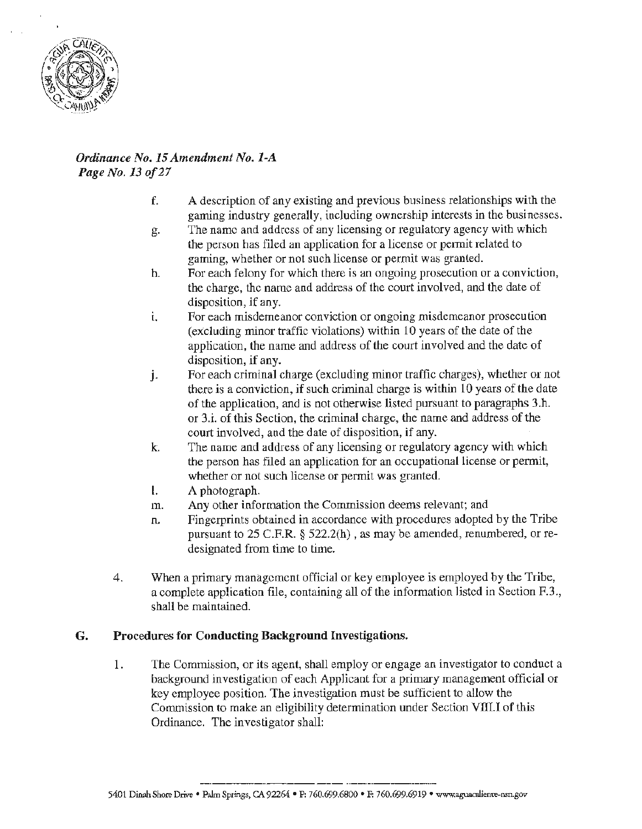

..

### *Ordinance No. 15 Amendment No. 1-A Page No. 13of27*

- f. A description of any existing and previous business relationships with the gaming industry generally, including ownership interests in the businesses.
- g. The name and address of any licensing or regulatory agency with which the person has filed an application for a license or permit related to gaming, whether or not such license or permit was granted.
- h. For each felony for which there is an ongoing prosecution or a conviction, the charge, the name and address of the court involved, and the date of disposition, if any.
- 1. For each misdemeanor conviction or ongoing misdemeanor prosecution (excluding minor traffic violations) within 10 years of the date of the application, the name and address of the court involved and the date of disposition, if any.
- j. For each criminal charge (excluding minor traffic charges), whether or not there is a conviction, if such criminal charge is within 10 years of the date of the application, and is not otherwise listed pursuant to paragraphs 3.h. or 3.i. of this Section, the criminal charge, the name and address of the court involved, and the date of disposition, if any.
- k. The name and address of any licensing or regulatory agency with which the person has filed an application for an occupational license or permit, whether or not such license or permit was granted.
- l. A photograph.
- m. Any other information the Commission deems relevant; and
- n. Fingerprints obtained in accordance with procedures adopted by the Tribe pursuant to 25 C.F.R. § 522.2(h) , as may be amended, renumbered, or redesignated from time to time.
- 4 . When a primary management official or key employee is employed by the Tribe, a complete application file, containing all of the information listed in Section F.3., shall be maintained.

# G. Procedures for Conducting Background Investigations.

l. The Commission, or its agent, shall employ or engage an investigator to conduct a background investigation of each Applicant for a primary management official or key employee position. The investigation must be sufficient to allow the Commission to make an eligibility determination under Section VIII.I of this Ordinance. The investigator shall: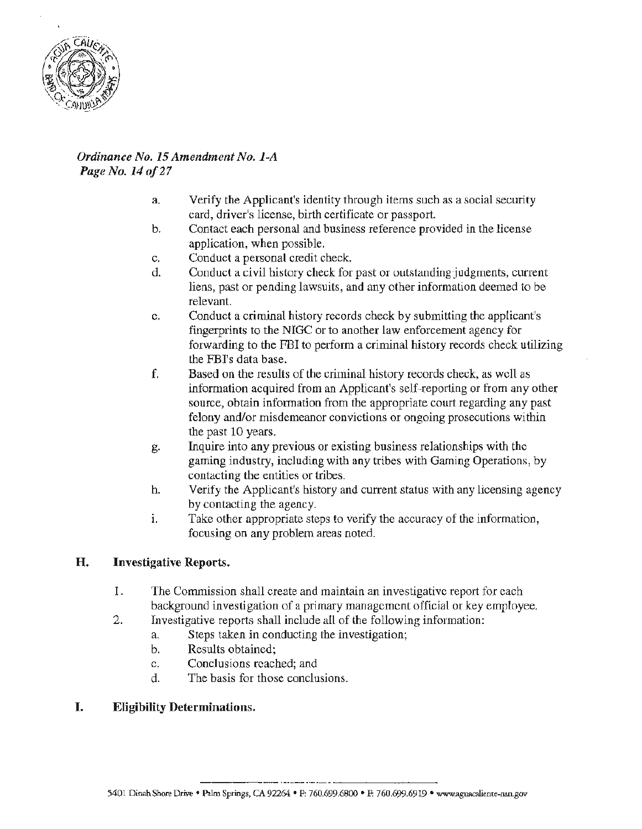

### *Ordinance No. 15 Amendment No. 1-A Page No. 14 of 27*

- a. Verify the Applicant's identity through items such as a social security card, driver's license, birth certificate or passport.
- b. Contact each personal and business reference provided in the license application, when possible.
- c. Conduct a personal credit check.
- d. Conduct a civil history check for past or outstanding judgments, current liens, past or pending lawsuits, and any other information deemed to be relevant.
- c. Conduct a criminal history records check by submitting the applicant's fingerprints to the NIGC or to another law enforcement agency for forwarding to the FBI to perform a criminal history records check utilizing the FBI's data base.
- f. Based on the results of the criminal history records check, as well as information acquired from an Applicant's self-reporting or from any other source, obtain information from the appropriate court regarding any past felony and/or misdemeanor convictions or ongoing prosecutions within the past 10 years.
- g. Inquire into any previous or existing business relationships with the gaming industry, including with any tribes with Gaming Operations, by contacting the entities or tribes.
- h. Verify the Applicant's history and current status with any licensing agency by contacting the agency.
- i. Take other appropriate steps to verify the accuracy of the information, focusing on any problem areas noted.

# H. Investigative Reports.

- 1. The Commission shall create and maintain an investigative report for each background investigation of a primary management official or key employee.
- 2. Investigative reports shall include all of the following information:
	- a. Steps taken in conducting the investigation;
		- b. Results obtained;
		- c. Conclusions reached; and
		- d. The basis for those conclusions.

# I. Eligibility Determinations.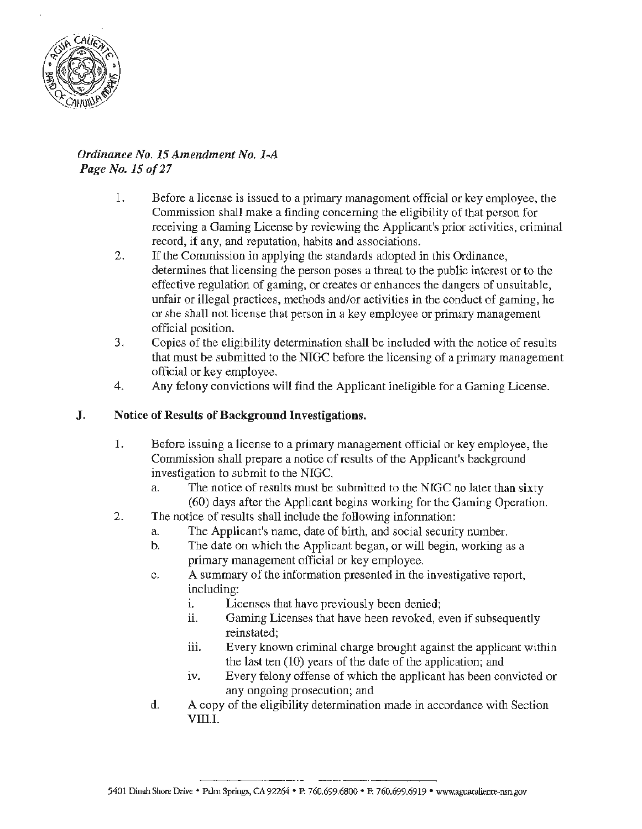

# *Ordinance No. 15 Amendment No. 1-A Page No. 15of27*

- 1. Before a license is issued to a primary management official or key employee. the Commission shall make a finding concerning the eligibility of that person for receiving a Gaming License by reviewing the Applicant's prior activities, criminal record. if any, and reputation, habits and associations.
- 2. If the Commission in applying the standards adopted in this Ordinance, determines that licensing the person poses a threat to the public interest or to the effective regulation of gaming, or creates or enhances the dangers of unsuitable, unfair or illegal practices, methods and/or activities in the conduct of gaming, he or she shall not license that person in a key employee or primary management official position.
- 3. Copies of the eligibility determination shall be included with the notice of results that must be submitted to the NIGC before the licensing of a primary management official or key employee.
- 4. Any felony convictions will find the Applicant ineligible for a Gaming License.

## J. Notice of Results of Background Investigations.

- 1. Before issuing a license to a primary management official or key employee, the Commission shall prepare a notice of results of the Applicant's background investigation to submit to the NIGC.
	- a. The notice of results must be submitted to the NIGC no later than sixty (60) days after the Applicant begins working for the Gaming Operation.
- 2. The notice of results shall include the following information:
	- a. The Applicant's name, date of birth, and social security number.
		- b. The date on which the Applicant began, or will begin, working as a primary management official or key employee.
		- c. A summary of the information presented in the investigative report, including:
			- i. Licenses that have previously been denied;
			- ii. Gaming Licenses that have been revoked, even if subsequently reinstated;
			- iii. Every known criminal charge brought against the applicant within the last ten ( 10) years of the date of the application; and
			- iv. Every felony offense of which the applicant has been convicted or any ongoing prosecution; and
		- d. A copy of the eligibility determination made in accordance with Section VIII.I.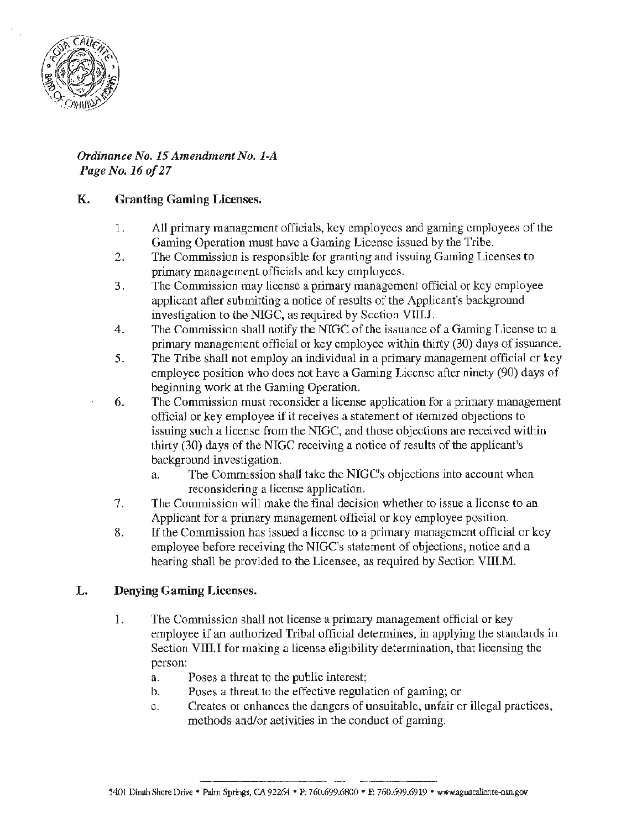

# *01'dinance No. 15 Amendment No. 1-A Page No. 16 of 27*

# K. Granting Gaming Licenses.

- 1. All primary management officials, key employees and gaming employees of the Gaming Operation must have a Gaming License issued by the Tribe.
- 2. The Commission is responsible for granting and issuing Gaming Licenses to primary management officials and key employees.
- 3. The Commission may license a primary management official or key employee applicant after submitting a notice of results of the Applicant's background investigation to the NIGC, as required by Section VIIl.J.
- $4.$ The Commission shall notify the NIGC of the issuance of a Gaming License to a primary management official or key employee within thirty (30) days of issuance.
- 5. The Tribe shall not employ an individual in a primary management official or key employee position who does not have a Gaming License after ninety (90) days of beginning work at the Gaming Operation.
- 6. The Commission must reconsider a license application for a primary management official or key employee if it receives a statement of itemized objections to issuing such a license from the NIGC, and those objections are received within thirty (30) days of the NIGC receiving a notice of results of the applicant's background investigation.
	- a. The Commission shall take the NIGC's objections into account when reconsidering a license application.
- 7. The Commission will make the final decision whether to issue a license to an Applicant for a primary management official or key employee position.
- 8. If the Commission has issued a license to a primary management official or key employee before receiving the NIGC's statement of objections, notice and a hearing shall be provided to the Licensee, as required by Section VIILM.

# L. Denying Gaming Licenses.

- l. The Commission shall not license a primary management official or key employee if an authorized Tribal official determines, in applying the standards in Section VIII.I for making a license eligibility determination, that licensing the person:
	- a. Poses a threat to the public interest;
	- b. Poses a threat to the effective regulation of gaming; or
	- c. Creates or enhances the dangers of unsuitable, unfair or illegal practices, methods and/or activities in the conduct of gaming.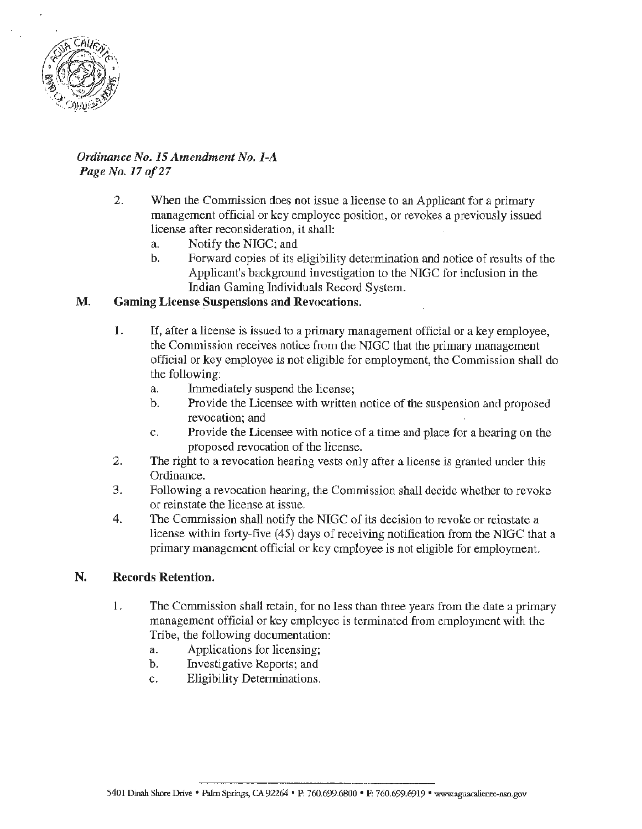

# *Ordinance No. JS Amendment No. I-A Page No. 17 of 27*

- 2. When the Commission does not issue a license to an Applicant for a primary management official or key employee position, or revokes a previously issued license after reconsideration, it shall:
	- a. Notify the NIGC; and
	- b. Forward copies of its eligibility determination and notice of results of the Applicant's background investigation to the NIGC for inclusion in the Indian Gaming Individuals Record System.

### M. Gaming License Suspensions and Revocations.

- 1. If, after a license is issued to a primary management official or a key employee, the Commission receives notice from the NIGC that the primary management official or key employee is not eligible for employment, the Commission shall do the following:
	- a. Immediately suspend the license;
	- b. Provide the Licensee with written notice of the suspension and proposed revocation; and
	- c. Provide the Licensee with notice of a time and place for a hearing on the proposed revocation of the license.
- 2. The right to a revocation hearing vests only after a license is granted under this Ordinance.
- 3. Following a revocation hearing, the Commission shall decide whether to revoke or reinstate the license at issue.
- 4. The Commission shall notify the NIGC of its decision to revoke or reinstate a license within forty-five (45) days of receiving notification from the NIGC that a primary management official or key employee is not eligible for employment.

### N. Records Retention.

- 1. The Commission shall retain, for no less than three years from the date a primary management official or key employee is terminated from employment with the Tribe, the following documentation:
	- a. Applications for licensing;
	- b. Investigative Reports; and
	- c. Eligibility Determinations.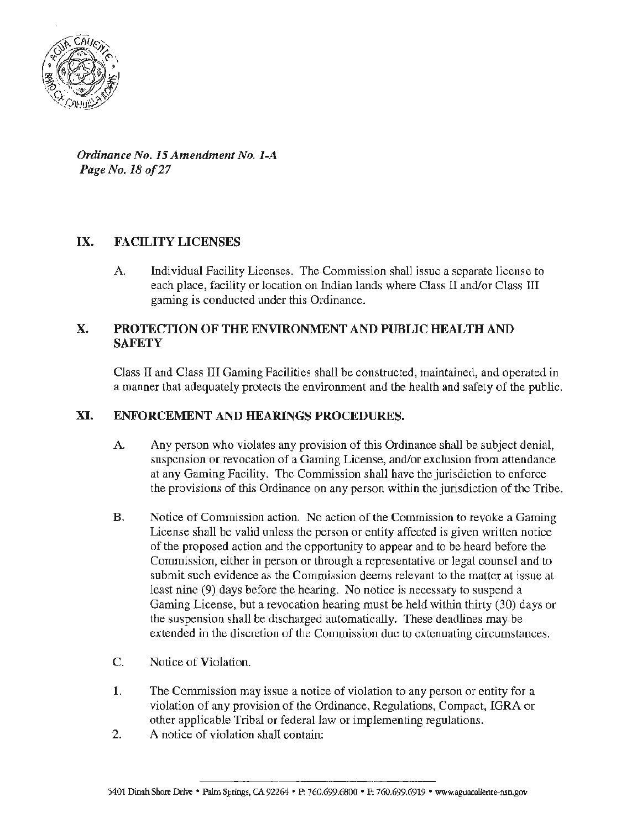

*Ordinance No. 15 Amendment No. 1-A*  Page No. 18 of 27

### IX. FACILITY LICENSES

A Individual Facility Licenses. The Commission shall issue a separate license to each place, facility or location on Indian lands where Class lI and/or Class III gaming is conducted under this Ordinance.

### X. PROTECTION OF THE ENVIRONMENT AND PUBLIC HEALTH AND **SAFETY**

Class II and Class III Gaming Facilities shall be constructed, maintained, and operated in a manner that adequately protects the environment and the health and safety of the public.

# · XI. ENFORCEMENT AND HEARINGS PROCEDURES.

- A. Any person who violates any provision of this Ordinance shall be subject denial, suspension or revocation of a Gaming License, and/or exclusion from attendance at any Gaming Facility. The Commission shall have the jurisdiction to enforce the provisions of this Ordinance on any person within the jurisdiction of the Tribe.
- B. Notice of Commission action. No action of the Commission to revoke a Gaming License shall be valid unless the person or entity affected is given written notice of the proposed action and the opportunity to appear and to be heard before the Commission, either in person or through a representative or legal counsel and to submit such evidence as the Commission deems relevant to the matter at issue at least nine (9) days before the hearing. No notice is necessary to suspend a Gaming License, but a revocation hearing must be held within thirty (30) days or the suspension shall be discharged automatically. These deadlines may be extended in the discretion of the Commission due to extenuating circumstances.
- C. Notice of Violation.
- 1. The Commission may issue a notice of violation to any person or entity for a violation of any provision of the Ordinance, Regulations, Compact, IGRA or other applicable Tribal or federal law or implementing regulations.
- 2. A notice of violation shall contain: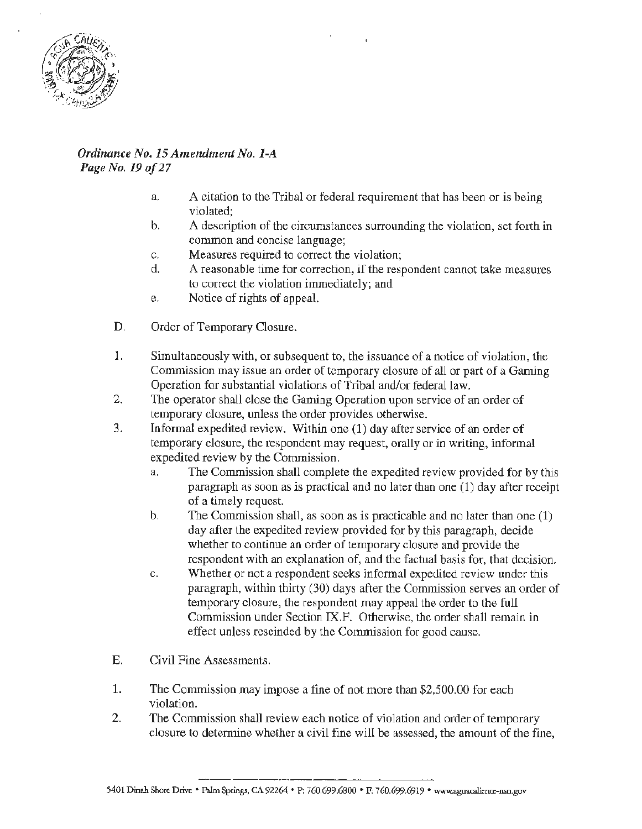

# *Ordinance No. 15 Amendment No. 1-A Page No. 19of27*

- a. A citation to the Tribal or federal requirement that has been or is being violated;
- b. A description of the circumstances surrounding the violation, set forth in common and concise language;
- c. Measures required to correct the violation;
- d. A reasonable time for correction, if the respondent cannot take measures to correct the violation immediately; and
- e. Notice of rights of appeal.
- D. Order of Temporary Closure.
- 1. Simultaneously with, or subsequent to, the issuance of a notice of violation, the Commission may issue an order of temporary closure of all or part of a Gaming Operation for substantial violations of Tribal and/or federal law.
- 2. The operator shall close the Gaming Operation upon service of an order of temporary closure, unless the order provides otherwise.
- 3. Informal expedited review. Within one (1) day after service of an order of temporary closure, the respondent may request, orally or in writing, informal expedited review by the Commission.
	- a. The Commission shall complete the expedited review provided for by this paragraph as soon as is practical and no later than one (1) day after receipt of a timely request.
	- b. The Commission shall, as soon as is practicable and no later than one (1) day after the expedited review provided for by this paragraph, decide whether to continue an order of temporary closure and provide the respondent with an explanation of, and the factual basis for, that decision.
	- c. Whether or not a respondent seeks informal expedited review under this paragraph, within thirty (30) days after the Commission serves an order of temporary closure, the respondent may appeal the order to the full Commission under Section IX.F. Otherwise, the order shall remain in effect unless rescinded by the Commission for good cause.
- E. Civil Fine Assessments.
- 1. The Commission may impose a fine of not more than \$2,500.00 for each violation.
- 2. The Commission shall review each notice of violation and order of temporary closure to determine whether a civil fine will be assessed, the amount of the fine,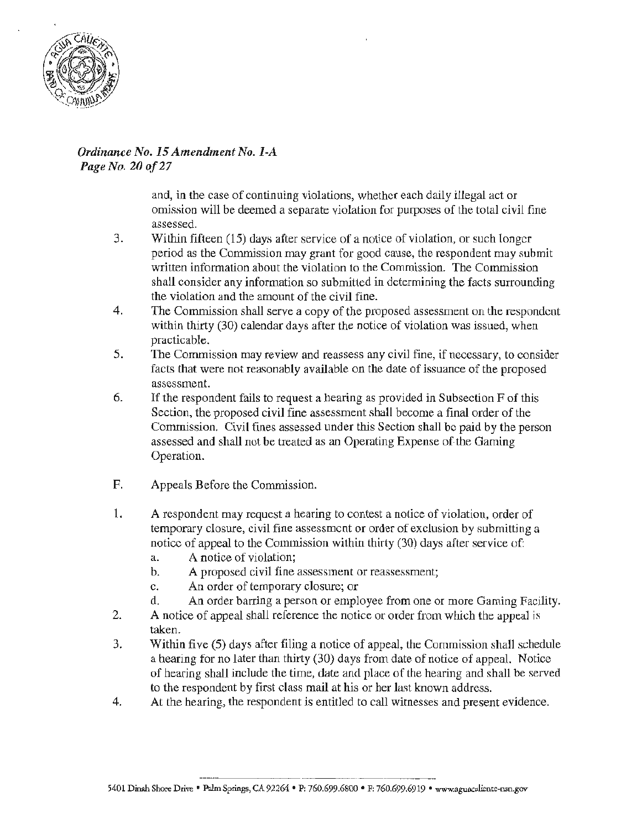

# *Ordinance No. 15 Amendment No. 1-A Page No. 20 of 27*

and, in the case of continuing violations, whether each daily illegal act or omission will be deemed a separate violation for purposes of the total civil fine assessed.

- 3. Within fifteen (15) days after service of a notice of violation, or such longer period as the Commission may grant for good cause, the respondent may suhmit written information about the violation to the Commission. The Commission shall consider any information so submitted in determining the facts surrounding the violation and the amount of the civil fine.
- 4. The Commission shall serve a copy of the proposed assessment on the respondent within thirty (30) calendar days after the notice of violation was issued, when practicable.
- 5. The Commission may review and reassess any civil fine, if necessary, to consider facts that were not reasonably available on the date of issuance of the proposed assessment.
- 6. If the respondent fails to request a hearing as provided in Subsection F of this Section, the proposed civil fine assessment shall become a final order of the Commission. Civil fines assessed under this Section shall be paid by the person assessed and shall not be treated as an Operating Expense of the Gaming Operation.
- F. Appeals Before the Commission.
- l. A respondent may request a hearing to contest a notice of violation, order of temporary closure, civil fine assessment or order of exclusion by submitting a notice of appeal to the Commission within thirty (30) days after service of:
	- a. A notice of violation;
	- b. A proposed civil fine assessment or reassessment;
	- c. An order of temporary closure; or
	- d. An order barring a person or employee from one or more Gaming Facility.
- 2. A notice of appeal shall reference the notice or order from which the appeal is taken.
- 3. Within five (5) days after filing a notice of appeal, the Commission shall schedule a hearing for no later than thirty (30) days from date of notice of appeal. Notice of hearing shall include the time, date and place of the hearing and shall be served to the respondent by first class mail at his or her last known address.
- 4. At the hearing, the respondent is entitled to call witnesses and present evidence.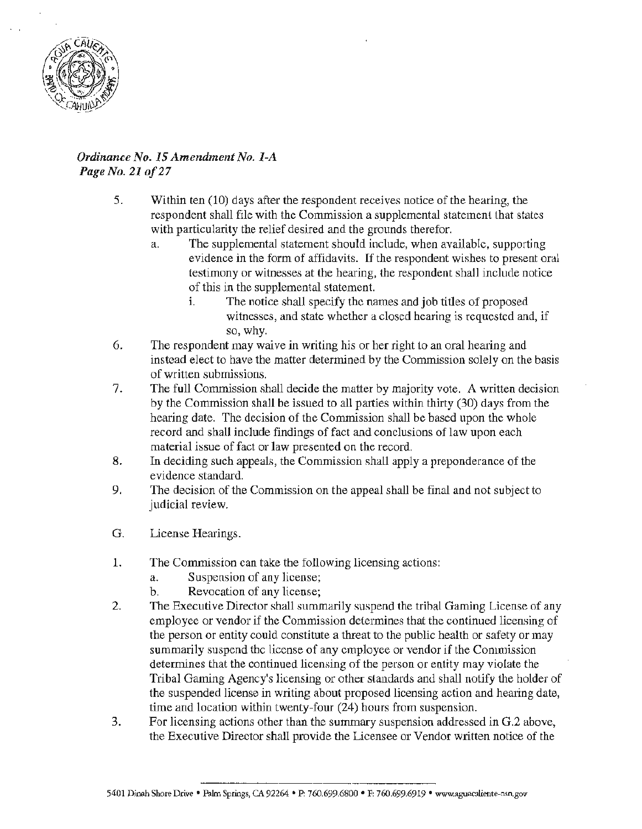

# *Ordinance No. JS Amendment No. 1-A Page No. 21 of 27*

- 5. Within ten (10) days after the respondent receives notice of the hearing, the respondent shall file with the Commission a supplemental statement that states with particularity the relief desired and the grounds therefor.
	- a. The supplemental statement should include, when available, supporting evidence in the form of affidavits. If the respondent wishes to present oral testimony or witnesses at the hearing, the respondent shatl include notice of this in the supplemental statement.
		- 1. The notice shall specify the names and job titles of proposed witnesses, and state whether a closed hearing is requested and, if so, why.
- 6. The respondent may waive in writing his or her right to an oral hearing and instead elect to have the matter determined by the Commission solely on the basis of written submissions.
- 7. The full Commission shall decide the matter by majority vote. A written decision by the Conunission shall be issued to all parties within thirty (30) days from the hearing date. The decision of the Commission shall be based upon the whole record and shall include findings of fact and conclusions of law upon each material issue of fact or law presented on the record.
- 8. In deciding such appeals, the Commission shall apply a preponderance of the evidence standard.
- 9. The decision of the Commission on the appeal shall be final and not subject to judicial review.
- G. License Hearings.
- 1. The Commission can take the following licensing actions:
	- a. Suspension of any license;
	- b. Revocation of any license;
- 2. The Executive Director shall summarily suspend the tribal Gaming License of any employee or vendor if the Commission determines that the continued licensing of the person or entity could constitute a threat to the public health or safety or may summarily suspend the license of any employee or vendor if the Commission determines that the continued licensing of the person or entity may violate the Tribal Gaming Agency's licensing or other standards and shall notify the holder of the suspended license in writing about proposed licensing action and hearing date, time and location within twenty-four (24) hours from suspension.
- 3. For licensing actions other than the summary suspension addressed in G.2 above, the Executive Director shall provide the Licensee or Vendor written notice of the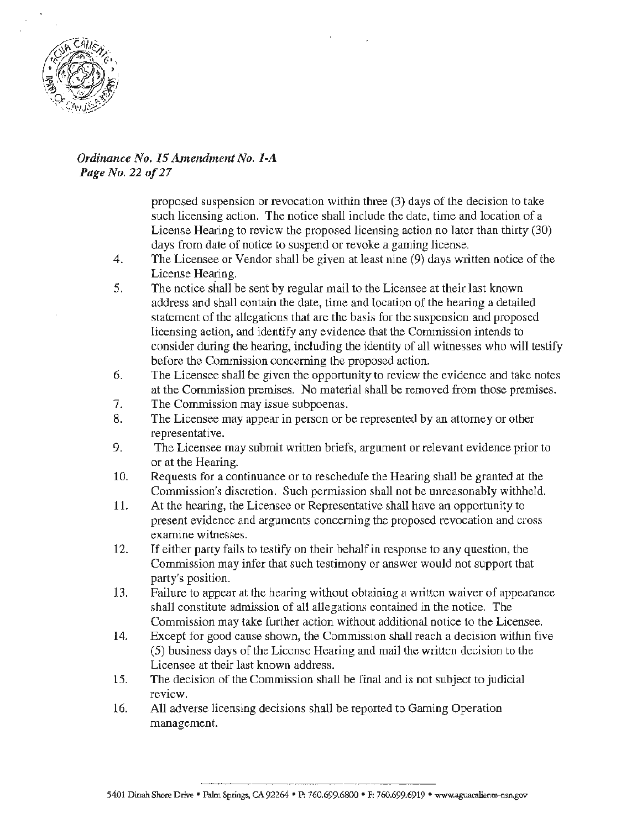

*Ordinance No. 15 Amendment No. 1-A Page No. 22 of 27* 

> proposed suspension or revocation within three (3) days of the decision to take such licensing action. The notice shall include the date, time and location of a License Hearing to review the proposed licensing action no later than thirty (30) days from date of notice to suspend or revoke a gaming license.

- 4. The Licensee or Vendor shall be given at least nine (9) days written notice of the License Hearing.
- 5. The notice shall be sent by regular mail to the Licensee at their last known address and shall contain the date, time and location of the bearing a detailed statement of the allegations that are the basis for the suspension and proposed licensing action, and identify any evidence that the Commission intends to consider during the hearing, including the identity of all witnesses who will testify before the Commission concerning the proposed action.
- $6.$  The Licensee shall be given the opportunity to review the evidence and take notes at the Commission premises. No material shall be removed from those premises.
- 7. The Commission may issue subpoenas.
- 8. The Licensee may appear in person or be represented by an attorney or other representative.
- 9. The Licensee may submit written briefs, argument or relevant evidence prior to or at the Hearing.
- 10. Requests for a continuance or to reschedule the Hearing shall be granted at the Commission's discretion. Such permission shall not be unreasonably withheld.
- 11. At the hearing, the Licensee or Representative shall have an opportunity to present evidence and arguments concerning the proposed revocation and cross examine witnesses.
- 12. If either party fails to testify on their behalf **in** response to any question, the Commission may infer that such testimony or answer would not support that party's position.
- 13. Failure to appear at the hearing without obtaining a written waiver of appearance shall constitute admission of aH allegations contained in the notice. The Commission may take further action without additional notice to the Licensee.
- 14. Except for good cause shown, the Commission shall reach a decision within five (5) business days of the License Hearing and mail the written decision to the Licensee at their last known address.
- 15. The decision of the Commission shall be final and is not subject to judicial review.
- 16. All adverse licensing decisions shall be reported to Gaming Operation management.

5401 Dinah Shore Drive• Palm Springs, CA 92264 • P: 760.699.6800 • F: 760.699.6919 • www.aguacaliente-nso.gov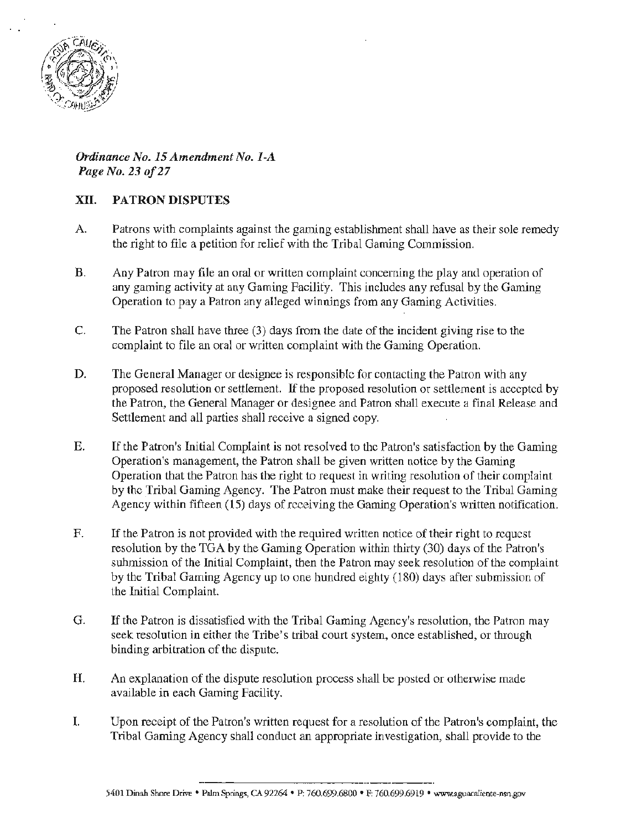

# *Ordinance No. 15 Amendment No. 1-A Page No. 23 of27*

# XII. PATRON DISPUTES

- A. Patrons with complaints against the gaming establishment shall have as their sole remedy the right to file a petition for relief with the Tribal Gaming Commission.
- B. Any Patron may file an oral or written complaint concerning the play and operation of any gaming activity at any Gaming Facility. This includes any refusal by the Gaming Operation to pay a Patron any alleged winnings from any Gaming Activities.
- C. The Patron shall have three (3) days from the date of the incident giving rise to the complaint to file an oral or written complaint with the Gaming Operation.
- D. The General Manager or designee is responsible for contacting the Patron with any proposed resolution or settlement. If the proposed resolution or settlement is accepted by the Patron. the General Manager or designee and Patron shall execute a final Release and Settlement and all parties shall receive a signed copy.
- E. If the Patron's Initial Complaint is not resolved to the Patron's satisfaction by the Gaming Operation's management, the Patron shall be given written notice by the Gaming . Operation that the Patron has the right to request in writing resolution of their complaint by the Tribal Gaming Agency. The Patron must make their request to the Tribal Gaming Agency within fifteen (15) days of receiving the Gaming Operation's written notification.
- F. If the Patron is not provided with the required written notice of their right to request resolution by the TGA by the Gaming Operation within thirty (30) days of the Patron's submission of the Initial Complaint, then the Patron may seek resolution of the complaint by the Tribal Gaming Agency up to one hundred eighty (180) days after submission of the Initial Complaint.
- G. If the Patron is dissatisfied with the Tribal Gaming Agency's resolution, the Patron may seek resolution in either the Tribe's tribal court system. once established, or through binding arbitration of the dispute.
- H. An explanation of the dispute resolution process shall be posted or otherwise made available in each Gaming Facility.
- I. Upon receipt of the Patron's written request for a resolution of the Patron's complaint, the Tribal Gaming Agency shall conduct an appropriate investigation, shall provide to the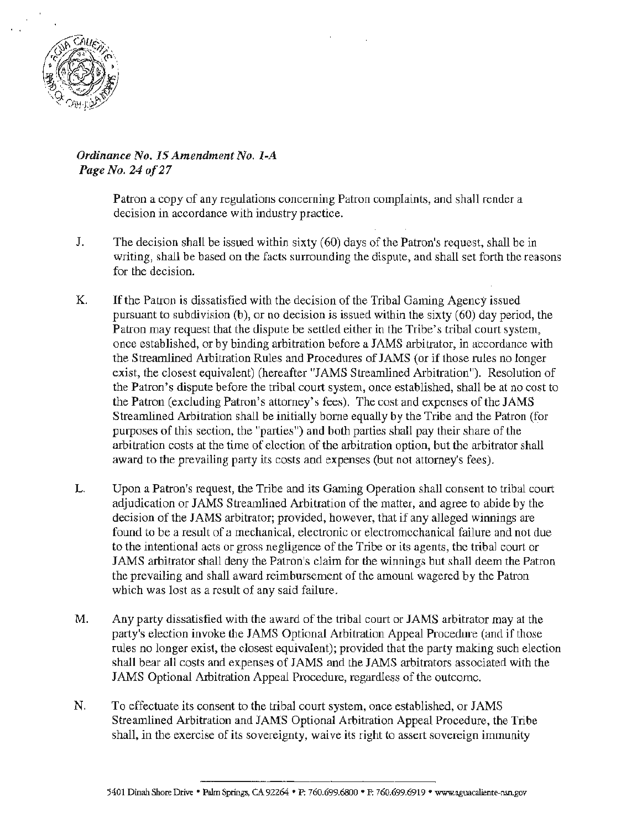

*Ordinance No. 15 Amendment No.* l~A *Page No. 24 of 27* 

> Patron a copy of any regulations concerning Patron complaints, and shall render a decision in accordance with industry practice.

- J. The decision shall be issued within sixty (60) days of the Patron's request, shall be in writing, shall be based on the facts surrounding the dispute, and shall set forth the reasons for the decision.
- K. If the Patron is dissatisfied with the decision of the Tribal Gaming Agency issued pursuant to subdivision (b), or no decision is issued within the sixty (60) day period, the Patron may request that the dispute be settled either in the Tribe's tribal court system, once established, or by binding arbitration before a JAMS arbitrator, in accordance with the Streamlined Arbitration Rules and Procedures of JANIS (or if those rules no longer exist, the closest equivalent) (hereafter "JAMS Streamlined Arbitration"). Resolution of the Patron's dispute before the tribal court system, once established, shall be at no cost to the Patron (excluding Patron's attorney's fees). The cost and expenses of the JAMS Streamlined Arbitration shall be initially borne equally by the Tribe and the Patron (for purposes of this section, the "parties'') and both parties shall pay their share of the arbitration costs at the time of election of the arbitration option, but the arbitrator shall award to the prevailing party its costs and expenses (but not attorney's fees).
- L. Upon a Patron's request, the Tribe and its Gaming Operation shall consent to tribal comt adjudication or JAMS Streamlined Arbitration of the matter, and agree to abide by the decision of the JAMS arbitrator; provided, however, that if any alleged winnings are found to be a result of a mechanical, electronic or electromechanical failure and not due to the intentional acts or gross negligence of the Tribe or its agents, the tribal court or JAMS arbitrator shall deny the Patron's claim for the winnings but shall deem the Patron the prevailing and shall award reimbursement of the amount wagered by the Patron which was lost as a result of any said failure.
- M. Any party dissatisfied with the award of the tribal court or JAMS arbitrator may at the party's election invoke the JAMS Optional Arbitration Appeal Procedure (and if those rules no longer exist, the closest equivalent); provided that the party making such election shall bear all costs and expenses of JAMS and the JAMS arbitrators associated with the JAMS Optional Arbitration Appeal Procedure, regardless of the outcome.
- N. To effectuate its consent to the tribal court system, once established, or JAMS Streamlined Arbitration and JAMS Optional Arbitration Appeal Procedure, the Tribe shall, in the exercise of its sovereignty, waive its right to assert sovereign immunity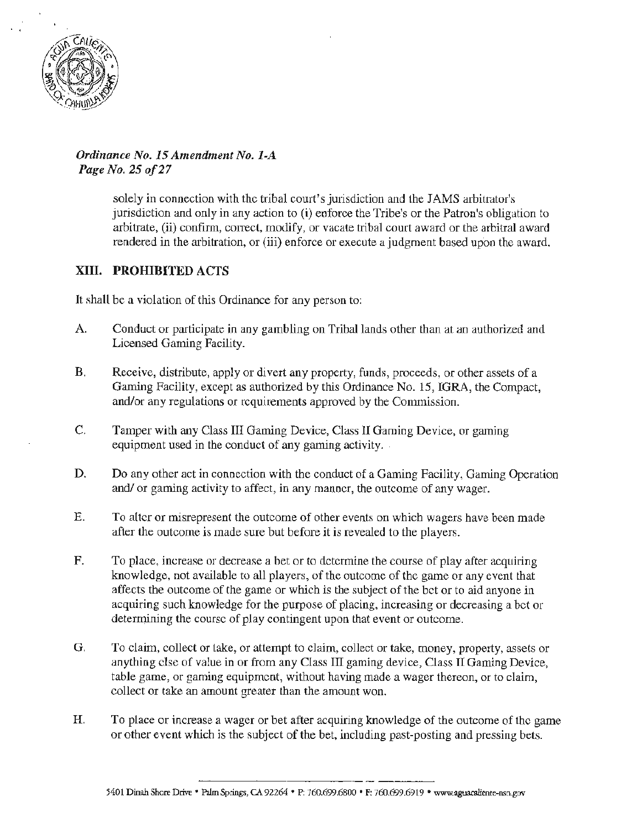

## *Ordinance No. 15 Amendment No. 1-A Page No. 25of27*

solely in connection with the tribal court's jurisdiction and the JAMS arbitrator's jurisdiction and only in any action to (i) enforce the Tribe's or the Patron's obligation to arbitrate, (ii) confirm, correct, modify, or vacate tribal court award or the arbitral award rendered in the arbitration, or (iii) enforce or execute a judgment based upon the award.

# XIII. **PROHIBITED** ACTS

It shall be a violation of this Ordinance for any person to:

- A. Conduct or participate in any gambling on Tribal lands other than at an authorized and Licensed Gaming Facility.
- B. Receive, distribute, apply or divert any property, funds, proceeds, or other assets of a Gaming Facility, except as authorized by this Ordinance No. 15, IGRA, the Compact, and/or any regulations or requirements approved by the Commission.
- C. Tamper with any Class III Gaming Device, Class II Gaming Device, or gaming equipment used in the conduct of any gaming activity.
- D. Do any other act in connection with the conduct of a Gaming Facility, Gaming Operation and/ or gaming activity to affect, in any manner, the outcome of any wager.
- E. To alter or misrepresent the outcome of other events on which wagers have been made after the outcome is made sure but before it is revealed to the players.
- F. To place, increase or decrease a bet or to determine the course of play after acquiring knowledge, not available to all players, of the outcome of the game or any event that affects the outcome of the game or which is the subject of the bet or to aid anyone in acquiring such knowledge for the purpose of placing, increasing or decreasing a bet or determining the course of play contingent upon that event or outcome.
- G. To claim, collect or take, or attempt to claim, collect or take, money, property, assets or anything else of value in or from any Class III gaming device, Class II Gaming Device, table game, or gaming equipment, without having made a wager thereon, or to claim, collect or take an amount greater than the amount won.
- H. To place or increase a wager or bet after acquiring knowledge of the outcome of the game or other event which is the subject of the bet, including past-posting and pressing bets.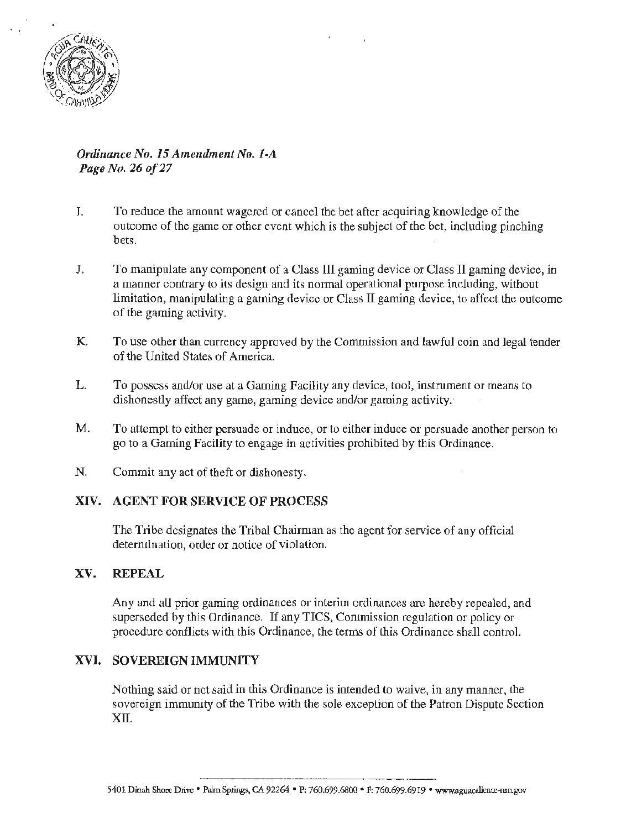

*Ordinance No.15 Amendment No. I-A Page No. 26 of 27* 

- J. To reduce the amount wagered or cancel the bet after acquiring knowledge of the outcome of the game or other event which *is* the subject of the bet, including pinching bets.
- J. To manipulate any component of a Class III gaming device or Class II gaming device, in a manner contrary to its design and its normal operational purpose including, without limitation, manipulating a gaming device or Class II gaming device, to affect the outcome of the gaming activity.
- K. To use other than currency approved by the Commission and lawful coin and legal tender of the United States of America.
- L. To possess and/or use at a Gaming Facility any device, tool, instrument or means to dishonestly affect any game, gaming device and/or gaming activity:
- M. To attempt to either persuade or induce, or to either induce or persuade another person to go to a Gaming Facility to engage in activities prohibited by this Ordinance.
- N. Commit any act of theft or dishonesty.

#### XIV. AGENT FOR SERVICE OF PROCESS

The Tribe designates the Tribal Chairman as the agent for service of any official determination, order or notice of violation.

#### XV. REPEAL

Any and all prior gaming ordinances or interim ordinances are hereby repealed, and superseded by this Ordinance. If any TICS, Commission regulation or policy or procedure conflicts with this Ordinance, the terms of lhis Ordinance shall control.

#### XVI. SOVEREIGN IMMUNITY

Nothing said or not said in this Ordinance is intended to waive, in any manner, the sovereign immunity of the Tribe with the sole exception of the Patron Dispute Section XII.